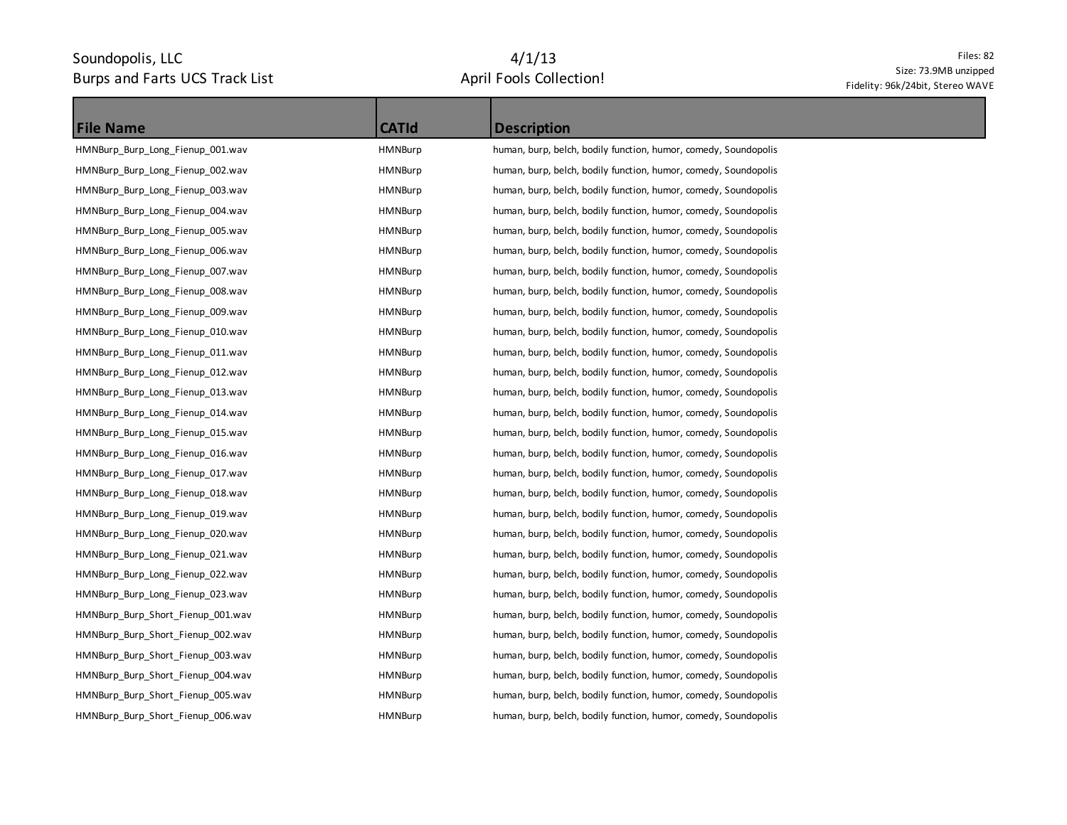## Soundopolis, LLC Burps and Farts UCS Track List

# 4/1/13 April Fools Collection!

#### Files: 82 Size: 73.9MB unzipped Fidelity: 96k/24bit, Stereo WAVE

| <b>File Name</b>                  | <b>CATId</b>   | <b>Description</b>                                              |
|-----------------------------------|----------------|-----------------------------------------------------------------|
| HMNBurp_Burp_Long_Fienup_001.wav  | <b>HMNBurp</b> | human, burp, belch, bodily function, humor, comedy, Soundopolis |
| HMNBurp_Burp_Long_Fienup_002.wav  | HMNBurp        | human, burp, belch, bodily function, humor, comedy, Soundopolis |
| HMNBurp_Burp_Long_Fienup_003.wav  | HMNBurp        | human, burp, belch, bodily function, humor, comedy, Soundopolis |
| HMNBurp Burp Long Fienup 004.wav  | HMNBurp        | human, burp, belch, bodily function, humor, comedy, Soundopolis |
| HMNBurp_Burp_Long_Fienup_005.wav  | HMNBurp        | human, burp, belch, bodily function, humor, comedy, Soundopolis |
| HMNBurp_Burp_Long_Fienup_006.wav  | <b>HMNBurp</b> | human, burp, belch, bodily function, humor, comedy, Soundopolis |
| HMNBurp_Burp_Long_Fienup_007.wav  | HMNBurp        | human, burp, belch, bodily function, humor, comedy, Soundopolis |
| HMNBurp_Burp_Long_Fienup_008.wav  | <b>HMNBurp</b> | human, burp, belch, bodily function, humor, comedy, Soundopolis |
| HMNBurp_Burp_Long_Fienup_009.wav  | HMNBurp        | human, burp, belch, bodily function, humor, comedy, Soundopolis |
| HMNBurp_Burp_Long_Fienup_010.wav  | HMNBurp        | human, burp, belch, bodily function, humor, comedy, Soundopolis |
| HMNBurp_Burp_Long_Fienup_011.wav  | HMNBurp        | human, burp, belch, bodily function, humor, comedy, Soundopolis |
| HMNBurp_Burp_Long_Fienup_012.wav  | HMNBurp        | human, burp, belch, bodily function, humor, comedy, Soundopolis |
| HMNBurp_Burp_Long_Fienup_013.wav  | HMNBurp        | human, burp, belch, bodily function, humor, comedy, Soundopolis |
| HMNBurp Burp Long Fienup 014.wav  | <b>HMNBurp</b> | human, burp, belch, bodily function, humor, comedy, Soundopolis |
| HMNBurp_Burp_Long_Fienup_015.wav  | HMNBurp        | human, burp, belch, bodily function, humor, comedy, Soundopolis |
| HMNBurp_Burp_Long_Fienup_016.wav  | <b>HMNBurp</b> | human, burp, belch, bodily function, humor, comedy, Soundopolis |
| HMNBurp_Burp_Long_Fienup_017.wav  | HMNBurp        | human, burp, belch, bodily function, humor, comedy, Soundopolis |
| HMNBurp_Burp_Long_Fienup_018.wav  | <b>HMNBurp</b> | human, burp, belch, bodily function, humor, comedy, Soundopolis |
| HMNBurp_Burp_Long_Fienup_019.wav  | HMNBurp        | human, burp, belch, bodily function, humor, comedy, Soundopolis |
| HMNBurp Burp Long Fienup 020.wav  | HMNBurp        | human, burp, belch, bodily function, humor, comedy, Soundopolis |
| HMNBurp_Burp_Long_Fienup_021.wav  | HMNBurp        | human, burp, belch, bodily function, humor, comedy, Soundopolis |
| HMNBurp_Burp_Long_Fienup_022.wav  | HMNBurp        | human, burp, belch, bodily function, humor, comedy, Soundopolis |
| HMNBurp_Burp_Long_Fienup_023.wav  | HMNBurp        | human, burp, belch, bodily function, humor, comedy, Soundopolis |
| HMNBurp_Burp_Short_Fienup_001.wav | HMNBurp        | human, burp, belch, bodily function, humor, comedy, Soundopolis |
| HMNBurp_Burp_Short_Fienup_002.wav | HMNBurp        | human, burp, belch, bodily function, humor, comedy, Soundopolis |
| HMNBurp_Burp_Short_Fienup_003.wav | HMNBurp        | human, burp, belch, bodily function, humor, comedy, Soundopolis |
| HMNBurp_Burp_Short_Fienup_004.wav | HMNBurp        | human, burp, belch, bodily function, humor, comedy, Soundopolis |
| HMNBurp Burp Short Fienup 005.wav | HMNBurp        | human, burp, belch, bodily function, humor, comedy, Soundopolis |
| HMNBurp_Burp_Short_Fienup_006.wav | HMNBurp        | human, burp, belch, bodily function, humor, comedy, Soundopolis |
|                                   |                |                                                                 |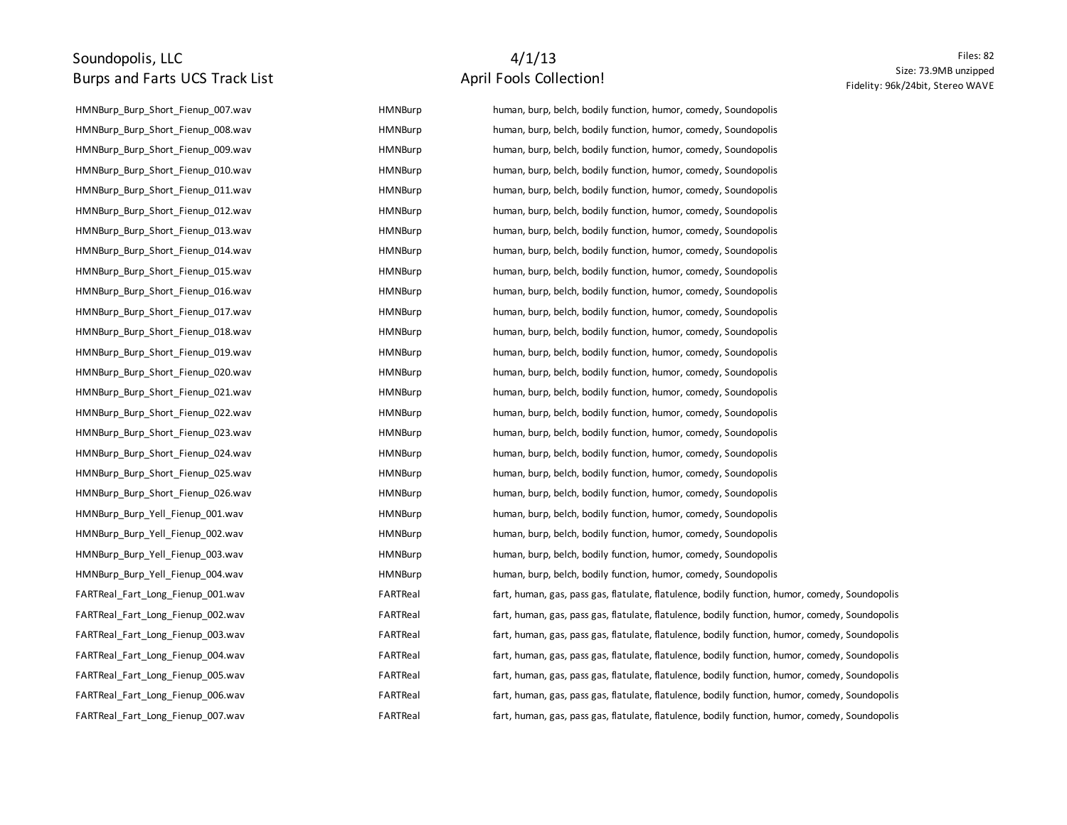#### Soundopolis, LLC Burps and Farts UCS Track List

### 4/1/13 April Fools Collection!

| HMNBurp Burp Short Fienup 007.wav | <b>HMNBurp</b> | human, burp, belch, bodily function, humor, comedy, Soundopolis                                |
|-----------------------------------|----------------|------------------------------------------------------------------------------------------------|
| HMNBurp Burp Short Fienup 008.wav | HMNBurp        | human, burp, belch, bodily function, humor, comedy, Soundopolis                                |
| HMNBurp_Burp_Short_Fienup_009.wav | <b>HMNBurp</b> | human, burp, belch, bodily function, humor, comedy, Soundopolis                                |
| HMNBurp_Burp_Short_Fienup_010.wav | <b>HMNBurp</b> | human, burp, belch, bodily function, humor, comedy, Soundopolis                                |
| HMNBurp_Burp_Short_Fienup_011.wav | <b>HMNBurp</b> | human, burp, belch, bodily function, humor, comedy, Soundopolis                                |
| HMNBurp_Burp_Short_Fienup_012.wav | <b>HMNBurp</b> | human, burp, belch, bodily function, humor, comedy, Soundopolis                                |
| HMNBurp_Burp_Short_Fienup_013.wav | <b>HMNBurp</b> | human, burp, belch, bodily function, humor, comedy, Soundopolis                                |
| HMNBurp_Burp_Short_Fienup_014.wav | HMNBurp        | human, burp, belch, bodily function, humor, comedy, Soundopolis                                |
| HMNBurp_Burp_Short_Fienup_015.wav | HMNBurp        | human, burp, belch, bodily function, humor, comedy, Soundopolis                                |
| HMNBurp_Burp_Short_Fienup_016.wav | HMNBurp        | human, burp, belch, bodily function, humor, comedy, Soundopolis                                |
| HMNBurp Burp Short Fienup 017.wav | HMNBurp        | human, burp, belch, bodily function, humor, comedy, Soundopolis                                |
| HMNBurp Burp Short Fienup 018.wav | HMNBurp        | human, burp, belch, bodily function, humor, comedy, Soundopolis                                |
| HMNBurp_Burp_Short_Fienup_019.wav | <b>HMNBurp</b> | human, burp, belch, bodily function, humor, comedy, Soundopolis                                |
| HMNBurp_Burp_Short_Fienup_020.wav | <b>HMNBurp</b> | human, burp, belch, bodily function, humor, comedy, Soundopolis                                |
| HMNBurp_Burp_Short_Fienup_021.wav | <b>HMNBurp</b> | human, burp, belch, bodily function, humor, comedy, Soundopolis                                |
| HMNBurp_Burp_Short_Fienup_022.wav | <b>HMNBurp</b> | human, burp, belch, bodily function, humor, comedy, Soundopolis                                |
| HMNBurp_Burp_Short_Fienup_023.wav | HMNBurp        | human, burp, belch, bodily function, humor, comedy, Soundopolis                                |
| HMNBurp_Burp_Short_Fienup_024.wav | HMNBurp        | human, burp, belch, bodily function, humor, comedy, Soundopolis                                |
| HMNBurp Burp Short Fienup 025.wav | HMNBurp        | human, burp, belch, bodily function, humor, comedy, Soundopolis                                |
| HMNBurp_Burp_Short_Fienup_026.wav | HMNBurp        | human, burp, belch, bodily function, humor, comedy, Soundopolis                                |
| HMNBurp_Burp_Yell_Fienup_001.wav  | HMNBurp        | human, burp, belch, bodily function, humor, comedy, Soundopolis                                |
| HMNBurp Burp Yell Fienup 002.wav  | HMNBurp        | human, burp, belch, bodily function, humor, comedy, Soundopolis                                |
| HMNBurp_Burp_Yell_Fienup_003.wav  | <b>HMNBurp</b> | human, burp, belch, bodily function, humor, comedy, Soundopolis                                |
| HMNBurp_Burp_Yell_Fienup_004.wav  | <b>HMNBurp</b> | human, burp, belch, bodily function, humor, comedy, Soundopolis                                |
| FARTReal_Fart_Long_Fienup_001.wav | FARTReal       | fart, human, gas, pass gas, flatulate, flatulence, bodily function, humor, comedy, Soundopolis |
| FARTReal_Fart_Long_Fienup_002.wav | FARTReal       | fart, human, gas, pass gas, flatulate, flatulence, bodily function, humor, comedy, Soundopolis |
| FARTReal_Fart_Long_Fienup_003.wav | FARTReal       | fart, human, gas, pass gas, flatulate, flatulence, bodily function, humor, comedy, Soundopolis |
| FARTReal_Fart_Long_Fienup_004.wav | FARTReal       | fart, human, gas, pass gas, flatulate, flatulence, bodily function, humor, comedy, Soundopolis |
| FARTReal_Fart_Long_Fienup_005.wav | FARTReal       | fart, human, gas, pass gas, flatulate, flatulence, bodily function, humor, comedy, Soundopolis |
| FARTReal Fart Long Fienup 006.wav | FARTReal       | fart, human, gas, pass gas, flatulate, flatulence, bodily function, humor, comedy, Soundopolis |
| FARTReal Fart Long Fienup 007.wav | FARTReal       | fart, human, gas, pass gas, flatulate, flatulence, bodily function, humor, comedy, Soundopolis |

Files: 82 Size: 73.9MB unzipped Fidelity: 96k/24bit, Stereo WAVE